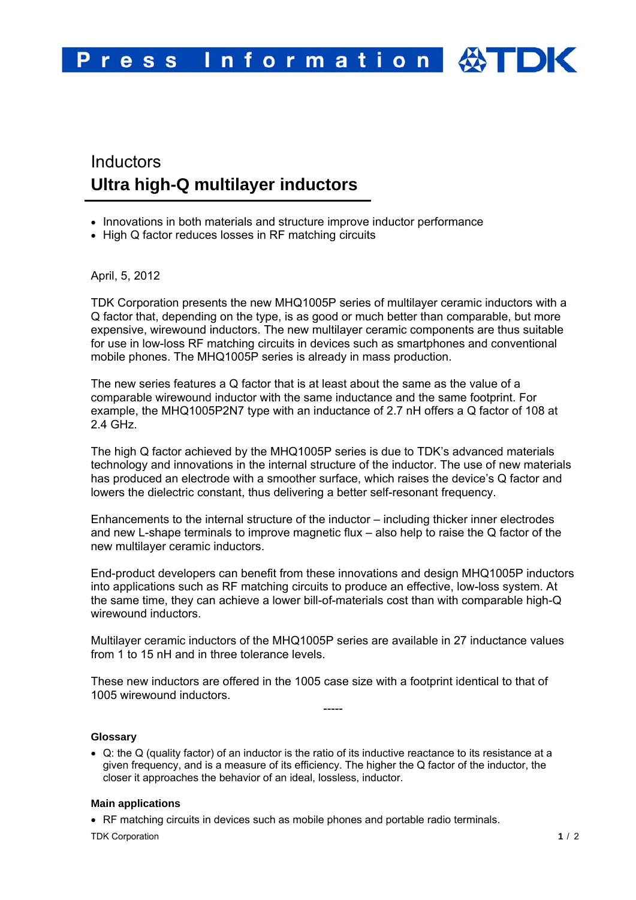# **Inductors Ultra high-Q multilayer inductors**

- Innovations in both materials and structure improve inductor performance
- High Q factor reduces losses in RF matching circuits

April, 5, 2012

TDK Corporation presents the new MHQ1005P series of multilayer ceramic inductors with a Q factor that, depending on the type, is as good or much better than comparable, but more expensive, wirewound inductors. The new multilayer ceramic components are thus suitable for use in low-loss RF matching circuits in devices such as smartphones and conventional mobile phones. The MHQ1005P series is already in mass production.

The new series features a Q factor that is at least about the same as the value of a comparable wirewound inductor with the same inductance and the same footprint. For example, the MHQ1005P2N7 type with an inductance of 2.7 nH offers a Q factor of 108 at 2.4 GHz.

The high Q factor achieved by the MHQ1005P series is due to TDK's advanced materials technology and innovations in the internal structure of the inductor. The use of new materials has produced an electrode with a smoother surface, which raises the device's Q factor and lowers the dielectric constant, thus delivering a better self-resonant frequency.

Enhancements to the internal structure of the inductor – including thicker inner electrodes and new L-shape terminals to improve magnetic flux – also help to raise the Q factor of the new multilayer ceramic inductors.

End-product developers can benefit from these innovations and design MHQ1005P inductors into applications such as RF matching circuits to produce an effective, low-loss system. At the same time, they can achieve a lower bill-of-materials cost than with comparable high-Q wirewound inductors.

Multilayer ceramic inductors of the MHQ1005P series are available in 27 inductance values from 1 to 15 nH and in three tolerance levels.

These new inductors are offered in the 1005 case size with a footprint identical to that of 1005 wirewound inductors.

-----

## **Glossary**

 Q: the Q (quality factor) of an inductor is the ratio of its inductive reactance to its resistance at a given frequency, and is a measure of its efficiency. The higher the Q factor of the inductor, the closer it approaches the behavior of an ideal, lossless, inductor.

## **Main applications**

RF matching circuits in devices such as mobile phones and portable radio terminals.

TDK Corporation **1** / 2